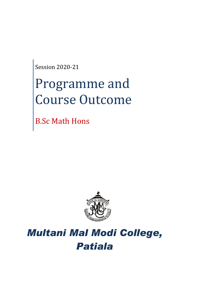Session 2020-21

# Programme and Course Outcome

B.Sc Math Hons



# *Multani Mal Modi College, Patiala*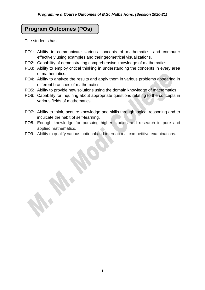# **Program Outcomes (POs)**

The students has

- PO1: Ability to communicate various concepts of mathematics, and computer effectively using examples and their geometrical visualizations.
- PO2: Capability of demonstrating comprehensive knowledge of mathematics.
- PO3: Ability to employ critical thinking in understanding the concepts in every area of mathematics.
- PO4: Ability to analyze the results and apply them in various problems appearing in different branches of mathematics.
- PO5: Ability to provide new solutions using the domain knowledge of mathematics
- PO6: Capability for inquiring about appropriate questions relating to the concepts in various fields of mathematics.
- PO7: Ability to think, acquire knowledge and skills through logical reasoning and to inculcate the habit of self-learning.
- PO8: Enough knowledge for pursuing higher studies and research in pure and applied mathematics.
- PO9: Ability to qualify various national and international competitive examinations.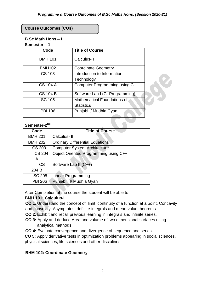#### **Course Outcomes (COs)**

# **B.Sc Math Hons – I**

#### **Semester – 1**

| Code            | <b>Title of Course</b>              |
|-----------------|-------------------------------------|
| <b>BMH 101</b>  | Calculus-1                          |
| <b>BMH102</b>   | <b>Coordinate Geometry</b>          |
| CS 103          | Introduction to Information         |
|                 | Technology                          |
| <b>CS 104 A</b> | <b>Computer Programming using C</b> |
| <b>CS 104 B</b> | Software Lab I (C- Programming)     |
| <b>SC 105</b>   | <b>Mathematical Foundations of</b>  |
|                 | <b>Statistics</b>                   |
| <b>PBI 106</b>  | Punjabi I/ Mudhla Gyan              |

#### Semester-2<sup>nd</sup>

| Code           | <b>Title of Course</b>                 |
|----------------|----------------------------------------|
| <b>BMH 201</b> | Calculus-II                            |
| <b>BMH 202</b> | <b>Ordinary Differential Equations</b> |
| <b>CS 203</b>  | <b>Computer System Architecture</b>    |
| <b>CS 204</b>  | Object Oriented Programming using C++  |
| A              |                                        |
| <b>CS</b>      | Software Lab II (C++)                  |
| 204 B          |                                        |
| SC 205         | <b>Linear Programming</b>              |
| <b>PBI 206</b> | Punjabi II/ Mudhla Gyan                |

After Completion of the course the student will be able to:

#### **BMH 101: Calculus-I**

**CO 1:** Understand the concept of limit, continuity of a function at a point, Concavity and convexity, Asymptotes, definite integrals and mean value theorems

- **CO 2:** Exhibit and recall previous learning in integrals and infinite series.
- **CO 3:** Apply and deduce Area and volume of two dimensional surfaces using analytical methods.
- **CO 4:** Evaluate convergence and divergence of sequence and series.

**CO 5:** Apply derivative tests in optimization problems appearing in social sciences, physical sciences, life sciences and other disciplines.

#### **BHM 102: Coordinate Geometry**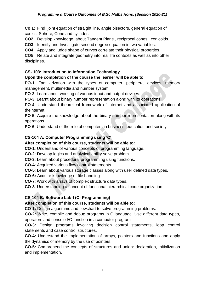#### *Programme & Course Outcomes of B.Sc Maths Hons. (Session 2020-21)*

**Co 1:** Find joint equation of straight line, angle bisectors, general equation of conics, Sphere, Cone and cylinder.

**CO2:** Develop knowledge about Tangent Plane , reciprocal cones , conicoids.

**CO3:** Identify and Investigate second degree equation in two variables.

**CO4:** Apply and judge shape of curves correlate their physical properties.

**CO5:** Relate and integrate geometry into real life contexts as well as into other disciplines.

#### **CS- 103: Introduction to Information Technology**

#### **Upon the completion of the course the learner will be able to**

**PO-1**: Familiarization with the types of computer, peripheral devices, memory management, multimedia and number system.

**PO-2**: Learn about working of various input and output devices.

**PO-3**: Learnt about binary number representation along with its operations.

**PO-4**: Understand theoretical framework of internet and associated application of theinternet.

**PO-5**: Acquire the knowledge about the binary number representation along with its operations.

**PO-6**: Understand of the role of computers in business, education and society.

# **CS-104 A: Computer Programming using 'C'**

#### **After completion of this course, students will be able to:**

**CO-1**: Understand of various concepts of programming language.

**CO-2**: Develop logics and analytical ability solve problem.

- **CO-3**: Learn about procedural programming using functions.
- **CO-4**: Acquired various flow control statements.

**CO-5**: Learn about various storage classes along with user defined data types.

- **CO-6:** Acquire knowledge of file handling
- **CO-7**: Work with arrays of complex structure data types.

**CO-8**: Understanding a concept of functional hierarchical code organization.

#### **CS-104 B: Software Lab-I (C- Programming)**

#### **After completion of this course, students will be able to:**

**CO-1:** Design algorithms and flowchart to solve programming problems.

**CO-2:** Write, compile and debug programs in C language. Use different data types, operators and console I/O function in a computer program.

**CO-3:** Design programs involving decision control statements, loop control statements and case control structures.

**CO-4:** Understand the implementation of arrays, pointers and functions and apply the dynamics of memory by the use of pointers.

**CO-5:** Comprehend the concepts of structures and union: declaration, initialization and implementation.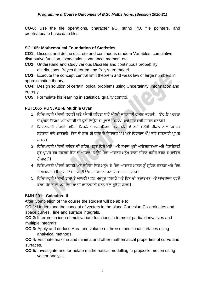**CO-6:** Use the file operations, character I/O, string I/O, file pointers, and create/update basic data files.

# **SC 105: Mathematical Foundation of Statistics**

**CO1:** Discuss and define discrete and continuous random Variables, cumulative distributive function, expectations, variance, moment etc.

**CO2:** Understand and study various Discrete and continuous probability distributions, Bayes theorem and Paly's urn model.

**CO3:** Execute the concept central limit theorem and weak law of large numbers in approximation theory.

**CO4:** Design solution of certain logical problems using Uncertainity, information and entropy.

**CO5:** Formulate his learning in statistical quality control.

# **PBI 106:- PUNJABI-I/ Mudhla Gyan**

- 1. ਵਿਦਿਆਰਥੀ ਪੰਜਾਬੀ ਕਹਾਣੀ ਅਤੇ ਪੰਜਾਬੀ ਕਵਿਤਾ ਬਾਰੇ ਮੱਢਲੀ ਜਾਣਕਾਰੀ ਹਾਸਲ ਕਰਨਗੇ। ਉਹ ਲੇਖ ਰਚਨਾ ਦੇ ਮੱਢਲੇ ਨਿਯਮਾਂ ਅਤੇ ਪੰਜਾਬੀ ਦੀ ਧਨੀ ਵਿਉਂਤ ਦੇ ਮੱਢਲੇ ਸੰਕਲਪਾਂ ਬਾਰੇ ਜਾਣਕਾਰੀ ਹਾਸਲ ਕਰਨਗੇ।
- 2. ਵਿਦਿਆਰਥੀ ਪੰਜਾਬੀ ਸਾਹਿਤ ਵਿਚਲੇ ਸਮਾਜ-ਸਭਿਆਚਾਰਕ ਸਰੋਕਾਰਾਂ ਅਤੇ ਮਨੱਖੀ ਜੀਵਨ ਨਾਲ ਸਬੰਧਤ ਸਰੋਕਾਰਾਂ ਬਾਰੇ ਜਾਣਨਗੇ। ਇਸ ਦੇ ਨਾਲ ਹੀ ਭਾਸ਼ਾ ਦੇ ਸਿਧਾਂਤਕ ਪੱਖ ਅਤੇ ਵਿਹਾਰਕ ਪੱਖ ਬਾਰੇ ਜਾਣਕਾਰੀ ਪ੍ਰਾਪਤ ਕਰਨਗੇ।
- 3. ਵਿਦਿਆਰਥੀ ਪੰਜਾਬੀ ਸਾਹਿਤ ਦੀ ਗਹਿਨ ਪੜ੍ਹਤ ਵਿਚੋਂ ਮਨੁੱਖ ਅਤੇ ਸਮਾਜ ਪ੍ਰਤੀ ਆਲੋਚਨਾਤਮਕ ਅਤੇ ਵਿਸਲੇਸ਼ਣੀ ਸੂਝ ਪ੍ਰਾਪਤ ਕਰ ਸਕਣਗੇ ਜਿਸ ਦੇ ਆਧਾਰ 'ਤੇ ਉਹ ਇਕ ਆਦਰਸ਼ ਮਨੱਖ ਵਾਲਾ ਜੀਵਨ ਬਤੀਤ ਕਰਨ ਦੇ ਕਾਬਿਲ ਹੋਜਾਣਗੇ।
- 4. ਵਿਦਿਆਰਥੀ ਪੰਜਾਬੀ ਕਹਾਣੀ ਅਤੇ ਕਵਿਤਾ ਵਿਚੋਂ ਮਨੁੱਖ ਦੇ ਇਕ ਆਦਰਸ਼ ਮਾਡਲ ਨੂੰ ਗ੍ਰਹਿਣ ਕਰਨਗੇ ਅਤੇ ਇਸ ਦੇ ਆਧਾਰ 'ਤੇ ਇਕ ਨਰੋਏ ਸਮਾਜ ਦੀ ਉਸਾਰੀ ਵਿਚ ਆਪਣਾ ਯੋਗਦਾਨ ਪਾਉਣਗੇ**।**
- 5. ਵਿਦਿਆਰਥੀ ਪੰਜਾਬੀ ਭਾਸ਼ਾ ਤੇ ਆਪਣੀ ਪਕੜ ਮਜ਼ਬੂਤ ਕਰਨਗੇ ਅਤੇ ਇਸ ਦੀ ਕਲਾਤਮਕ ਅਤੇ ਆਦਰਸ਼ਕ ਵਰਤੋਂ ਕਰਦੇ ਹੋਏ ਭਾਵਾਂ ਅਤੇ ਵਿਚਾਰਾਂ ਦੀ ਰਚਨਾਕਾਰੀ ਕਰਨ ਵੱਲ ਰਚਿਤ ਹੋਣਗੇ।

# **BMH 201: Calculus- II**

After Completion of the course the student will be able to:

**CO 1:** Understand the concept of vectors in the plane Cartesian Co-ordinates and space curves, line and surface integrals.

**CO 2:** Interpret in idea of multivariate functions in terms of partial derivatives and multiple integrals.

**CO 3:** Apply and deduce Area and volume of three dimensional surfaces using analytical methods.

**CO 4:** Estimate maxima and minima and other mathematical properties of curve and surfaces.

**CO 5:** Investigate and formulate mathematical modelling in projectile motion using vector analysis.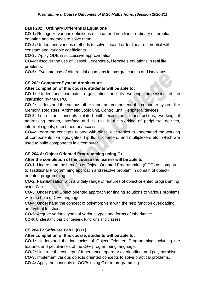# **BMH 202: Ordinary Differential Equations**

**CO-1:** Recognize various definitions of linear and non linear ordinary differential equation and methods to solve them.

**CO-2:** Understand various methods to solve second order linear differential with constant and variable coefficients.

**CO-3:** Apply ODE in successive approximation.

**CO-4:** Discover the use of Bessel, Legendre's, Hermite's equations in real life problems.

**CO-5:** Evaluate use of differential equations in intergral curves and isocleans.

# **CS 203: Computer System Architecture**

#### **After completion of this course, students will be able to:**

**CO-1:** Understand computer organization and its working, processing of an instruction by the CPU.

**CO-2:** Understand the various other important component of a computer system like Memory, Registers, Arithmetic Logic unit, Control unit, Peripheral devices.

**CO-3** Learn the concepts related with execution of instructions, working of addressing modes, interface and its use in the working of peripheral devices, interrupt signals, direct memory access.

**CO-4:** Learn the concepts related with digital electronics to understand the working of components like logic gates, flip flops, counters, and multiplexers etc., which are used to build components in a computer.

# **CS 204 A: Object Oriented Programming using C+**

# **After the completion of the course the learner will be able to**

**CO-1**: Understand the benefits of Object-Oriented Programming (OOP) as compare to Traditional Programming approach and resolve problem in domain of objectoriented programming.

**CO-2**: Familiarization with a widely range of features of object-oriented programming using C++

**CO-3**: Understand Object oriented approach for finding solutions to various problems with the help of C++ language.

**CO-4**: Understand the concept of polymorphism with the help function overloading and virtual functions.

**CO-5**: Acquire various types of various types and forms of inheritance.

**CO-6**: Understand basic of generic functions and classes

# **CS 204 B: Software Lab II (C++)**

#### **After completion of this course, students will be able to:**

**CO-1:** Understand the intricacies of Object Oriented Programming including the features and peculiarities of the C++ programming language.

**CO-2:** Illustrate the concept of Inheritance, operator overloading, and polymorphism.

**CO-3:** Implement various objects oriented concepts to solve practical problems.

**CO-4:** Apply the concepts of OOPs using C++ in programming.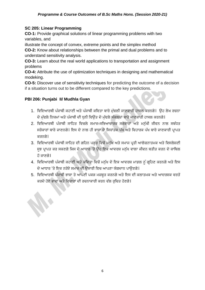# **SC 205: Linear Programming**

**CO-1:** Provide graphical solutions of linear programming problems with two variables, and

illustrate the concept of convex, extreme points and the simplex method

**CO-2:** Know about relationships between the primal and dual problems and to understand sensitivity analysis.

**CO-3:** Learn about the real world applications to transportation and assignment problems

**CO-4:** Attribute the use of optimization techniques in designing and mathematical modeking.

**CO-5:** Discover use of sensitivity techniques for predicting the outcome of a decision if a situation turns out to be different compared to the key predictions.

# **PBI 206: Punjabi II/ Mudhla Gyan**

- 1. ਵਿਦਿਆਰਥੀ ਪੰਜਾਬੀ ਕਹਾਣੀ ਅਤੇ ਪੰਜਾਬੀ ਕਵਿਤਾ ਬਾਰੇ ਮੱਢਲੀ ਜਾਣਕਾਰੀ ਹਾਸਲ ਕਰਨਗੇ। ਉਹ ਲੇਖ ਰਚਨਾ ਦੇ ਮੱਢਲੇ ਨਿਯਮਾਂ ਅਤੇ ਪੰਜਾਬੀ ਦੀ ਧਨੀ ਵਿਉਂਤ ਦੇ ਮੱਢਲੇ ਸੰਕਲਪਾਂ ਬਾਰੇ ਜਾਣਕਾਰੀ ਹਾਸਲ ਕਰਨਗੇ।
- 2. ਵਿਦਿਆਰਥੀ ਪੰਜਾਬੀ ਸਾਹਿਤ ਵਿਚਲੇ ਸਮਾਜ-ਸਭਿਆਚਾਰਕ ਸਰੋਕਾਰਾਂ ਅਤੇ ਮਨੱਖੀ ਜੀਵਨ ਨਾਲ ਸਬੰਧਤ ਸਰੋਕਾਰਾਂ ਬਾਰੇ ਜਾਣਨਗੇ। ਇਸ ਦੇ ਨਾਲ ਹੀ ਭਾਸ਼ਾ ਦੇ ਸਿਧਾਂਤਕ ਪੱਖ ਅਤੇ ਵਿਹਾਰਕ ਪੱਖ ਬਾਰੇ ਜਾਣਕਾਰੀ ਪਾਪਤ ਕਰਨਗੇ।
- 3. ਵਿਦਿਆਰਥੀ ਪੰਜਾਬੀ ਸਾਹਿਤ ਦੀ ਗਹਿਨ ਪੜ੍ਹਤ ਵਿਚੋਂ ਮਨੁੱਖ ਅਤੇ ਸਮਾਜ ਪ੍ਰਤੀ ਆਲੋਚਨਾਤਮਕ ਅਤੇ ਵਿਸਲੇਸ਼ਣੀ ਸੂਝ ਪਾਪਤ ਕਰ ਸਕਣਗੇ ਜਿਸ ਦੇ ਆਧਾਰ 'ਤੇ ਉਹ ਇਕ ਆਦਰਸ਼ ਮਨੱਖ ਵਾਲਾ ਜੀਵਨ ਬਤੀਤ ਕਰਨ ਦੇ ਕਾਬਿਲ ਹੋਜਾਣਗੇ।
- 4. ਵਿਦਿਆਰਥੀ ਪੰਜਾਬੀ ਕਹਾਣੀ ਅਤੇ ਕਵਿਤਾ ਵਿਚੋਂ ਮਨੱਖ ਦੇ ਇਕ ਆਦਰਸ਼ ਮਾਡਲ ਨੂੰ ਗ੍ਰਹਿਣ ਕਰਨਗੇ ਅਤੇ ਇਸ ਦੇ ਆਧਾਰ 'ਤੇ ਇਕ ਨਰੋਏ ਸਮਾਜ ਦੀ ਉਸਾਰੀ ਵਿਚ ਆਪਣਾ ਯੋਗਦਾਨ ਪਾਉਣਗੇ।
- 5. ਵਿਦਿਆਰਥੀ ਪੰਜਾਬੀ ਭਾਸ਼ਾ ਤੇ ਆਪਣੀ ਪਕੜ ਮਜ਼ਬਤ ਕਰਨਗੇ ਅਤੇ ਇਸ ਦੀ ਕਲਾਤਮਕ ਅਤੇ ਆਦਰਸ਼ਕ ਵਰਤੋਂ ਕਰਦੇ ਹੋਏ ਭਾਵਾਂ ਅਤੇ ਵਿਚਾਰਾਂ ਦੀ ਰਚਨਾਕਾਰੀ ਕਰਨ ਵੱਲ ਰੁਚਿਤ ਹੋਣਗੇ।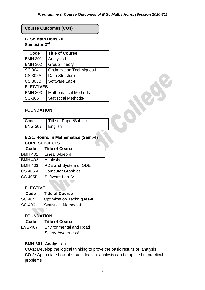# **Course Outcomes (COs)**

# **B. Sc Math Hons - II Semester-3 rd**

| Code             | <b>Title of Course</b>           |
|------------------|----------------------------------|
| <b>BMH 301</b>   | Analysis-I                       |
| <b>BMH 302</b>   | <b>Group Theory</b>              |
| SC 304           | <b>Optimization Techniques-I</b> |
| <b>CS 305A</b>   | Data Structure                   |
| <b>CS 305B</b>   | Software Lab-III                 |
| <b>ELECTIVES</b> |                                  |
| <b>BMH 303</b>   | <b>Mathematical Methods</b>      |
| SC-306           | <b>Statistical Methods-I</b>     |

#### **FOUNDATION**

| <sup>I</sup> Code | <b>Title of Paper/Subject</b> |
|-------------------|-------------------------------|
| LENG 307          | ∣ English                     |

# **B.Sc. Honrs. In Mathematics (Sem.-4) CORE SUBJECTS**

| Code            | <b>Title of Course</b>   |
|-----------------|--------------------------|
| <b>BMH 401</b>  | Linear Algebra           |
| <b>BMH 402</b>  | Analysis-II              |
| <b>BMH 403</b>  | PDE and System of ODE    |
| <b>CS 405 A</b> | <b>Computer Graphics</b> |
| <b>CS 405B</b>  | Software Lab-IV          |

#### **ELECTIVE**

| Code          | <b>Title of Course</b>            |
|---------------|-----------------------------------|
| <b>SC 404</b> | <b>Optimization Techniques-II</b> |
| SC-406        | <b>Statistical Methods-II</b>     |

#### **FOUNDATION**

| Code    | <b>Title of Course</b>        |
|---------|-------------------------------|
| EVS-407 | <b>Environmental and Road</b> |
|         | Safety Awareness*             |

#### **BMH-301: Analysis-I)**

**CO-1:** Develop the logical thinking to prove the basic results of analysis. **CO-2:** Appreciate how abstract ideas in analysis can be applied to practical problems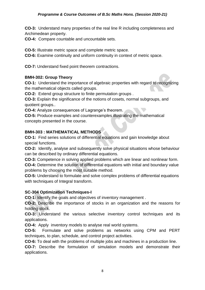**CO-3:** Understand many properties of the real line R including completeness and Archimedean property.

**CO-4:** Compare countable and uncountable sets.

**CO-5:** Illustrate metric space and complete metric space.

**CO-6:** Examine continuity and uniform continuity in context of metric space.

**CO-7:** Understand fixed point theorem contractions.

#### **BMH-302: Group Theory**

**CO-1:** Understand the importance of algebraic properties with regard to recognizing the mathematical objects called groups.

**CO-2:** Extend group structure to finite permutation groups .

**CO-3:** Explain the significance of the notions of cosets, normal subgroups, and quotient groups..

**CO-4:** Analyze consequences of Lagrange's theorem.

**CO-5:** Produce examples and counterexamples illustrating the mathematical concepts presented in the course.

#### **BMH-303 : MATHEMATICAL METHODS**

**CO-1:** Find series solutions of differential equations and gain knowledge about special functions.

**CO-2:** Identify, analyse and subsequently solve physical situations whose behaviour can be described by ordinary differential equations.

**CO-3:** Competence in solving applied problems which are linear and nonlinear form.

**CO-4:** Determine the solution of differential equations with initial and boundary value problems by choosing the most suitable method.

**CO-5:** Understand to formulate and solve complex problems of differential equations with techniques of Integral transform.

#### **SC-304 Optimization Techniques-I**

**CO-1:** Identify the goals and objectives of inventory management .

**CO-2:** Describe the importance of stocks in an organization and the reasons for holding stock.

**CO-3:** Understand the various selective inventory control techniques and its applications.

**CO-4:** Apply inventory models to analyse real world systems.

**CO-5:** Formulate and solve problems as networks using CPM and PERT techniques, to plan, schedule, and control project activities.

**CO-6:** To deal with the problems of multiple jobs and machines in a production line.

**CO-7:** Describe the formulation of simulation models and demonstrate their applications.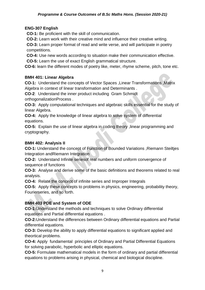# **ENG-307 English**

**CO-1:** Be proficient with the skill of communication.

**CO-2:** Learn work with their creative mind and influence their creative writing.

**CO-3:** Learn proper format of read and write verse, and will participate in poetry competitions.

**CO-4:** Use new words according to situation make their communication effective.

**CO-5:** Learn the use of exact English grammatical structure.

**CO-6:** learn the different modes of poetry like, meter, rhyme scheme, pitch, tone etc.

# **BMH 401: Linear Algebra**

**CO-1:** Understand the concepts of Vector Spaces ,Linear Transformations ,Matrix Algebra in context of linear transformation and Determinants .

**CO-2**: Understand the inner product including Gram Schmidt orthogonalizationProcess .

**CO-3:** Apply computational techniques and algebraic skills essential for the study of linear Algebra.

**CO-4:** Apply the knowledge of linear algebra to solve system of differential equations.

**CO-5:** Explain the use of linear algebra in coding theory ,linear programming and cryptography.

# **BMH 402: Analysis II**

**CO-1:** Understand the concept of Function of Bounded Variations ,Riemann Steiltjes Integration andRiemann Integration

**CO-2:** Understand Infinite seriesof real numbers and uniform convergence of sequence of functions

**CO-3:** Analyse and derive some of the basic definitions and theorems related to real analysis.

**CO-4:** Relate the concept of infinite series and Improper Integrals

**CO-5:** Apply these concepts to problems in physics, engineering, probability theory, Fourierseries, and so forth.

# **BMH 403 PDE and System of ODE**

**CO-1:**Understand the methods and techniques to solve Ordinary differential equations and Partial differential equations .

**CO-2:**Understand the differences between Ordinary differential equations and Partial differential equations.

**CO-3:** Develop the ability to apply differential equations to significant applied and theortical problems.

**CO-4:** Apply fundamental principles of Ordinary and Partial Differential Equations for solving parabolic, hyperbolic and elliptic equations.

**CO-5:** Formulate mathematical models in the form of ordinary and partial differential equations to problems arising in physical, chemical and biological discipline.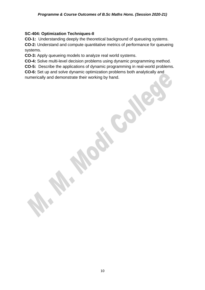#### **SC-404: Optimization Techniques-II**

**CO-1:** Understanding deeply the theoretical background of queueing systems.

**CO-2:** Understand and compute quantitative metrics of performance for queueing systems.

**CO-3:** Apply queueing models to analyze real world systems.

**CO-4:** Solve multi-level decision problems using dynamic programming method.

**CO-5:** Describe the applications of dynamic programming in real-world problems.

**CO-6:** Set up and solve dynamic optimization problems both analytically and numerically and demonstrate their working by hand.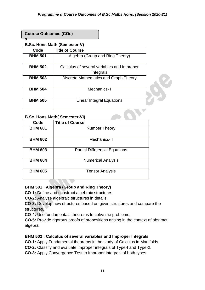#### **Course Outcomes (COs)**

**s**

# **B.Sc. Hons Math (Semester-V)**

| Code           | <b>Title of Course</b>                                  |
|----------------|---------------------------------------------------------|
| <b>BHM 501</b> | Algebra (Group and Ring Theory)                         |
| <b>BHM 502</b> | Calculus of several variables and Improper<br>Integrals |
| <b>BHM 503</b> | Discrete Mathematics and Graph Theory                   |
| <b>BHM 504</b> | Mechanics-1                                             |
| <b>BHM 505</b> | Linear Integral Equations                               |

#### **B.Sc. Hons Math( Semester-VI)**

| Code           | <b>Title of Course</b>                |
|----------------|---------------------------------------|
| <b>BHM 601</b> | Number Theory                         |
| <b>BHM 602</b> | Mechanics-II                          |
| <b>BHM 603</b> | <b>Partial Differential Equations</b> |
| <b>BHM 604</b> | <b>Numerical Analysis</b>             |
| <b>BHM 605</b> | <b>Tensor Analysis</b>                |

# **BHM 501** : **Algebra (Group and Ring Theory)**

**CO-1:** Define and construct algebraic structures

**CO-2:** Analyse algebraic structures in details.

**CO-3:** Develop new structures based on given structures and compare the structures.

**CO-4:** Use fundamentals theorems to solve the problems.

**CO-5:** Provide rigorous proofs of propositions arising in the context of abstract algebra.

# **BHM 502 : Calculus of several variables and Improper Integrals**

**CO-1:** Apply Fundamental theorems in the study of Calculus in Manifolds

**CO-2:** Classify and evaluate improper integrals of Type-I and Type-2.

**CO-3:** Apply Convergence Test to Improper integrals of both types.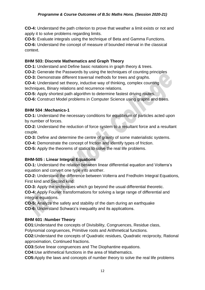#### *Programme & Course Outcomes of B.Sc Maths Hons. (Session 2020-21)*

**CO-4:** Understand the path criterion to prove that weather a limit exists or not and apply it to solve problems regarding limits.

**CO-5:** Evaluate integrals using the technique of Beta and Gamma Functions.

**CO-6:** Understand the concept of measure of bounded interval in the classical context.

#### **BHM 503: Discrete Mathematics and Graph Theory**

**CO-1:** Understand and Define basic notations in graph theory & trees.

**CO-2:** Generate the Passwords by using the techniques of counting principles

**CO-3:** Demonstrate different traversal methods for trees and graphs.

**CO-4:** Understand set theory, inductive way of thinking, complex counting techniques, Binary relations and recurrence relations.

**CO-5:** Apply shortest path algorithm to determine fastest driving routes.

**CO-6:** Construct Model problems in Computer Science using graphs and trees.

# **BHM 504 :Mechanics-1**

**CO-1:** Understand the necessary conditions for equilibrium of particles acted upon by number of forces.

**CO-2:** Understand the reduction of force system to a resultant force and a resultant couple.

**CO-3:** Define and determine the centre of gravity of some materialistic systems.

**CO-4:** Demonstrate the concept of friction and identify types of friction.

**CO-5:** Apply the theorems of statics to solve the real life problems.

# **BHM-505 : Linear Integral Equations**

**CO-1:** Understand the relation between linear differential equation and Volterra's equation and convert one type into another.

**CO-2:** Understand the difference between Volterra and Fredholm Integral Equations, First kind and Second kind.

**CO-3:** Apply the techniques which go beyond the usual differential theoretic.

**CO-4:** Apply Fourier transformations for solving a large range of differential and integral equations.

**CO-5:** Analyze the safety and stability of the dam during an earthquake **CO-6:** Understand Schwarz's inequality and its applications.

# **BHM 601 :Number Theory**

**CO1:**Understand the concepts of Divisibility, Congruences, Residue class,

Polynomial congruences, Primitive roots and Arithmetical functions.

**CO2:**Understand the concepts of Quadratic residues, Quadratic reciprocity, Rational approximation, Continued fractions.

**CO3:**Solve linear congruences and The Diophantine equations.

**CO4:**Use arithmetical functions in the area of Mathematics.

**CO5:**Apply the laws and concepts of number theory to solve the real life problems